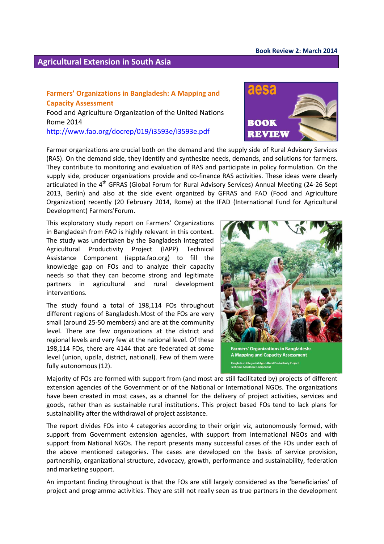## **Agricultural Extension in South Asia**

## **Farmers' Organizations in Bangladesh: A Mapping and Capacity Assessment** Food and Agriculture Organization of the United Nations Rome 2014 <http://www.fao.org/docrep/019/i3593e/i3593e.pdf>



Farmer organizations are crucial both on the demand and the supply side of Rural Advisory Services (RAS). On the demand side, they identify and synthesize needs, demands, and solutions for farmers. They contribute to monitoring and evaluation of RAS and participate in policy formulation. On the supply side, producer organizations provide and co-finance RAS activities. These ideas were clearly articulated in the 4<sup>th</sup> GFRAS (Global Forum for Rural Advisory Services) Annual Meeting (24-26 Sept 2013, Berlin) and also at the side event organized by GFRAS and FAO (Food and Agriculture Organization) recently (20 February 2014, Rome) at the IFAD (International Fund for Agricultural Development) Farmers'Forum.

This exploratory study report on Farmers' Organizations in Bangladesh from FAO is highly relevant in this context. The study was undertaken by the Bangladesh Integrated Agricultural Productivity Project (IAPP) Technical Assistance Component (iappta.fao.org) to fill the knowledge gap on FOs and to analyze their capacity needs so that they can become strong and legitimate partners in agricultural and rural development interventions.

The study found a total of 198,114 FOs throughout different regions of Bangladesh.Most of the FOs are very small (around 25-50 members) and are at the community level. There are few organizations at the district and regional levels and very few at the national level. Of these 198,114 FOs, there are 4144 that are federated at some level (union, upzila, district, national). Few of them were fully autonomous (12).



**A Mapping and Capacity Assessment** h Integrated Agricultural Productivity Project

Majority of FOs are formed with support from (and most are still facilitated by) projects of different extension agencies of the Government or of the National or International NGOs. The organizations have been created in most cases, as a channel for the delivery of project activities, services and goods, rather than as sustainable rural institutions. This project based FOs tend to lack plans for sustainability after the withdrawal of project assistance.

The report divides FOs into 4 categories according to their origin viz, autonomously formed, with support from Government extension agencies, with support from International NGOs and with support from National NGOs. The report presents many successful cases of the FOs under each of the above mentioned categories. The cases are developed on the basis of service provision, partnership, organizational structure, advocacy, growth, performance and sustainability, federation and marketing support.

An important finding throughout is that the FOs are still largely considered as the 'beneficiaries' of project and programme activities. They are still not really seen as true partners in the development